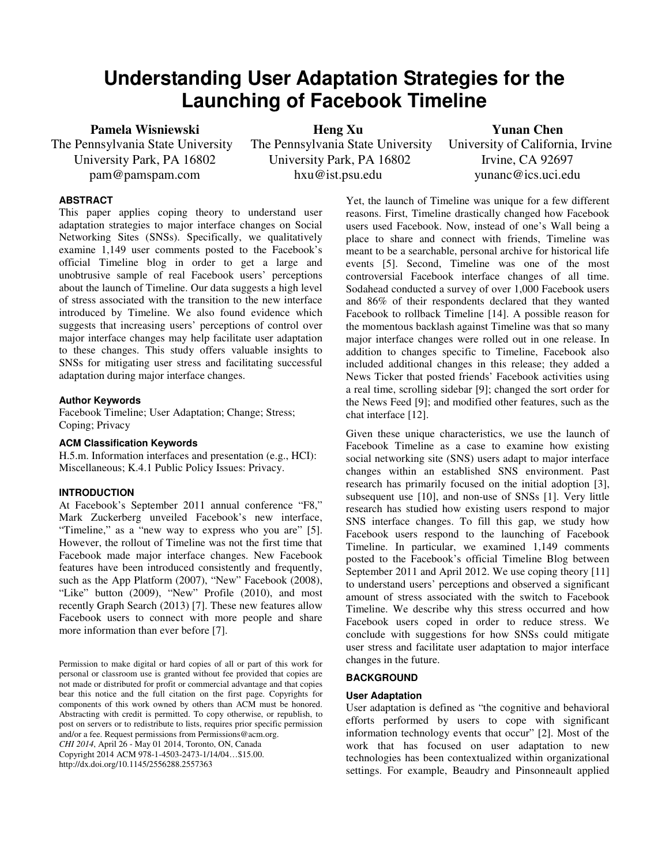# **Understanding User Adaptation Strategies for the Launching of Facebook Timeline**

**Pamela Wisniewski**  The Pennsylvania State University University Park, PA 16802 pam@pamspam.com

**Heng Xu**  The Pennsylvania State University University Park, PA 16802 hxu@ist.psu.edu

**Yunan Chen**  University of California, Irvine Irvine, CA 92697 yunanc@ics.uci.edu

## **ABSTRACT**

This paper applies coping theory to understand user adaptation strategies to major interface changes on Social Networking Sites (SNSs). Specifically, we qualitatively examine 1,149 user comments posted to the Facebook's official Timeline blog in order to get a large and unobtrusive sample of real Facebook users' perceptions about the launch of Timeline. Our data suggests a high level of stress associated with the transition to the new interface introduced by Timeline. We also found evidence which suggests that increasing users' perceptions of control over major interface changes may help facilitate user adaptation to these changes. This study offers valuable insights to SNSs for mitigating user stress and facilitating successful adaptation during major interface changes.

#### **Author Keywords**

Facebook Timeline; User Adaptation; Change; Stress; Coping; Privacy

#### **ACM Classification Keywords**

H.5.m. Information interfaces and presentation (e.g., HCI): Miscellaneous; K.4.1 Public Policy Issues: Privacy.

## **INTRODUCTION**

At Facebook's September 2011 annual conference "F8," Mark Zuckerberg unveiled Facebook's new interface, "Timeline," as a "new way to express who you are" [5]. However, the rollout of Timeline was not the first time that Facebook made major interface changes. New Facebook features have been introduced consistently and frequently, such as the App Platform (2007), "New" Facebook (2008), "Like" button (2009), "New" Profile (2010), and most recently Graph Search (2013) [7]. These new features allow Facebook users to connect with more people and share more information than ever before [7].

Permission to make digital or hard copies of all or part of this work for personal or classroom use is granted without fee provided that copies are not made or distributed for profit or commercial advantage and that copies bear this notice and the full citation on the first page. Copyrights for components of this work owned by others than ACM must be honored. Abstracting with credit is permitted. To copy otherwise, or republish, to post on servers or to redistribute to lists, requires prior specific permission and/or a fee. Request permissions from Permissions@acm.org. *CHI 2014*, April 26 - May 01 2014, Toronto, ON, Canada Copyright 2014 ACM 978-1-4503-2473-1/14/04…\$15.00. http://dx.doi.org/10.1145/2556288.2557363

Yet, the launch of Timeline was unique for a few different reasons. First, Timeline drastically changed how Facebook users used Facebook. Now, instead of one's Wall being a place to share and connect with friends, Timeline was meant to be a searchable, personal archive for historical life events [5]. Second, Timeline was one of the most controversial Facebook interface changes of all time. Sodahead conducted a survey of over 1,000 Facebook users and 86% of their respondents declared that they wanted Facebook to rollback Timeline [14]. A possible reason for the momentous backlash against Timeline was that so many major interface changes were rolled out in one release. In addition to changes specific to Timeline, Facebook also included additional changes in this release; they added a News Ticker that posted friends' Facebook activities using a real time, scrolling sidebar [9]; changed the sort order for the News Feed [9]; and modified other features, such as the chat interface [12].

Given these unique characteristics, we use the launch of Facebook Timeline as a case to examine how existing social networking site (SNS) users adapt to major interface changes within an established SNS environment. Past research has primarily focused on the initial adoption [3], subsequent use [10], and non-use of SNSs [1]. Very little research has studied how existing users respond to major SNS interface changes. To fill this gap, we study how Facebook users respond to the launching of Facebook Timeline. In particular, we examined 1,149 comments posted to the Facebook's official Timeline Blog between September 2011 and April 2012. We use coping theory [11] to understand users' perceptions and observed a significant amount of stress associated with the switch to Facebook Timeline. We describe why this stress occurred and how Facebook users coped in order to reduce stress. We conclude with suggestions for how SNSs could mitigate user stress and facilitate user adaptation to major interface changes in the future.

## **BACKGROUND**

#### **User Adaptation**

User adaptation is defined as "the cognitive and behavioral efforts performed by users to cope with significant information technology events that occur" [2]. Most of the work that has focused on user adaptation to new technologies has been contextualized within organizational settings. For example, Beaudry and Pinsonneault applied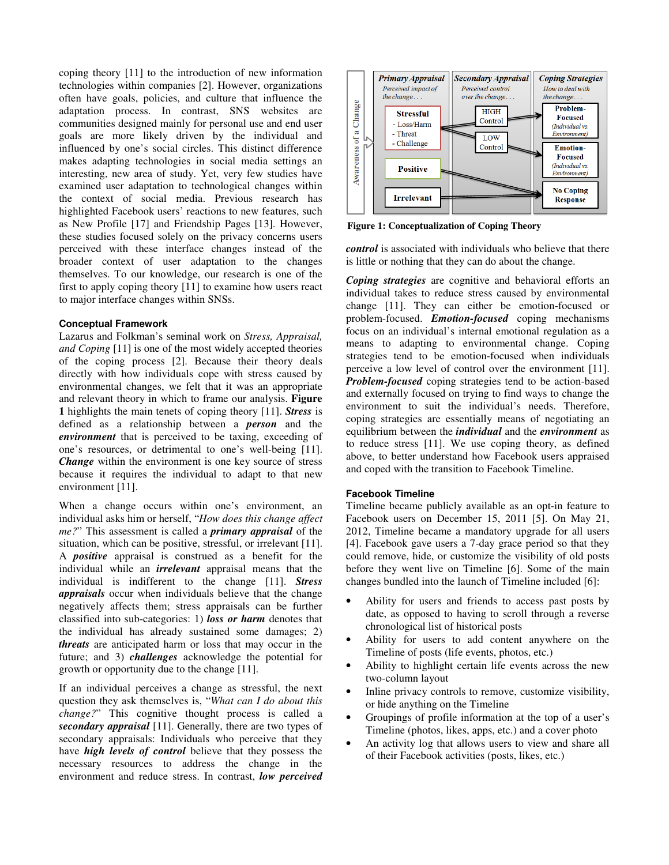coping theory [11] to the introduction of new information technologies within companies [2]. However, organizations often have goals, policies, and culture that influence the adaptation process. In contrast, SNS websites are communities designed mainly for personal use and end user goals are more likely driven by the individual and influenced by one's social circles. This distinct difference makes adapting technologies in social media settings an interesting, new area of study. Yet, very few studies have examined user adaptation to technological changes within the context of social media. Previous research has highlighted Facebook users' reactions to new features, such as New Profile [17] and Friendship Pages [13]. However, these studies focused solely on the privacy concerns users perceived with these interface changes instead of the broader context of user adaptation to the changes themselves. To our knowledge, our research is one of the first to apply coping theory [11] to examine how users react to major interface changes within SNSs.

## **Conceptual Framework**

Lazarus and Folkman's seminal work on *Stress, Appraisal, and Coping* [11] is one of the most widely accepted theories of the coping process [2]. Because their theory deals directly with how individuals cope with stress caused by environmental changes, we felt that it was an appropriate and relevant theory in which to frame our analysis. **Figure 1** highlights the main tenets of coping theory [11]. *Stress* is defined as a relationship between a *person* and the *environment* that is perceived to be taxing, exceeding of one's resources, or detrimental to one's well-being [11]. *Change* within the environment is one key source of stress because it requires the individual to adapt to that new environment [11].

When a change occurs within one's environment, an individual asks him or herself, "*How does this change affect me?*" This assessment is called a *primary appraisal* of the situation, which can be positive, stressful, or irrelevant [11]. A *positive* appraisal is construed as a benefit for the individual while an *irrelevant* appraisal means that the individual is indifferent to the change [11]. *Stress appraisals* occur when individuals believe that the change negatively affects them; stress appraisals can be further classified into sub-categories: 1) *loss or harm* denotes that the individual has already sustained some damages; 2) *threats* are anticipated harm or loss that may occur in the future; and 3) *challenges* acknowledge the potential for growth or opportunity due to the change [11].

If an individual perceives a change as stressful, the next question they ask themselves is, "*What can I do about this change?*" This cognitive thought process is called a *secondary appraisal* [11]. Generally, there are two types of secondary appraisals: Individuals who perceive that they have *high levels of control* believe that they possess the necessary resources to address the change in the environment and reduce stress. In contrast, *low perceived* 



**Figure 1: Conceptualization of Coping Theory** 

*control* is associated with individuals who believe that there is little or nothing that they can do about the change.

*Coping strategies* are cognitive and behavioral efforts an individual takes to reduce stress caused by environmental change [11]. They can either be emotion-focused or problem-focused. *Emotion-focused* coping mechanisms focus on an individual's internal emotional regulation as a means to adapting to environmental change. Coping strategies tend to be emotion-focused when individuals perceive a low level of control over the environment [11]. *Problem-focused* coping strategies tend to be action-based and externally focused on trying to find ways to change the environment to suit the individual's needs. Therefore, coping strategies are essentially means of negotiating an equilibrium between the *individual* and the *environment* as to reduce stress [11]. We use coping theory, as defined above, to better understand how Facebook users appraised and coped with the transition to Facebook Timeline.

#### **Facebook Timeline**

Timeline became publicly available as an opt-in feature to Facebook users on December 15, 2011 [5]. On May 21, 2012, Timeline became a mandatory upgrade for all users [4]. Facebook gave users a 7-day grace period so that they could remove, hide, or customize the visibility of old posts before they went live on Timeline [6]. Some of the main changes bundled into the launch of Timeline included [6]:

- Ability for users and friends to access past posts by date, as opposed to having to scroll through a reverse chronological list of historical posts
- Ability for users to add content anywhere on the Timeline of posts (life events, photos, etc.)
- Ability to highlight certain life events across the new two-column layout
- Inline privacy controls to remove, customize visibility, or hide anything on the Timeline
- Groupings of profile information at the top of a user's Timeline (photos, likes, apps, etc.) and a cover photo
- An activity log that allows users to view and share all of their Facebook activities (posts, likes, etc.)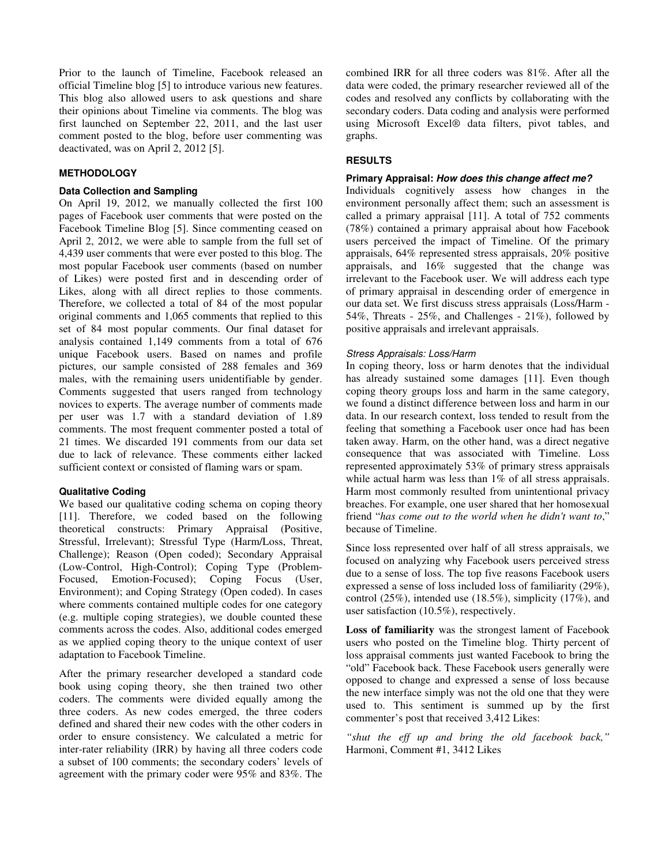Prior to the launch of Timeline, Facebook released an official Timeline blog [5] to introduce various new features. This blog also allowed users to ask questions and share their opinions about Timeline via comments. The blog was first launched on September 22, 2011, and the last user comment posted to the blog, before user commenting was deactivated, was on April 2, 2012 [5].

## **METHODOLOGY**

## **Data Collection and Sampling**

On April 19, 2012, we manually collected the first 100 pages of Facebook user comments that were posted on the Facebook Timeline Blog [5]. Since commenting ceased on April 2, 2012, we were able to sample from the full set of 4,439 user comments that were ever posted to this blog. The most popular Facebook user comments (based on number of Likes) were posted first and in descending order of Likes, along with all direct replies to those comments. Therefore, we collected a total of 84 of the most popular original comments and 1,065 comments that replied to this set of 84 most popular comments. Our final dataset for analysis contained 1,149 comments from a total of 676 unique Facebook users. Based on names and profile pictures, our sample consisted of 288 females and 369 males, with the remaining users unidentifiable by gender. Comments suggested that users ranged from technology novices to experts. The average number of comments made per user was 1.7 with a standard deviation of 1.89 comments. The most frequent commenter posted a total of 21 times. We discarded 191 comments from our data set due to lack of relevance. These comments either lacked sufficient context or consisted of flaming wars or spam.

## **Qualitative Coding**

We based our qualitative coding schema on coping theory [11]. Therefore, we coded based on the following theoretical constructs: Primary Appraisal (Positive, Stressful, Irrelevant); Stressful Type (Harm/Loss, Threat, Challenge); Reason (Open coded); Secondary Appraisal (Low-Control, High-Control); Coping Type (Problem-Focused, Emotion-Focused); Coping Focus (User, Environment); and Coping Strategy (Open coded). In cases where comments contained multiple codes for one category (e.g. multiple coping strategies), we double counted these comments across the codes. Also, additional codes emerged as we applied coping theory to the unique context of user adaptation to Facebook Timeline.

After the primary researcher developed a standard code book using coping theory, she then trained two other coders. The comments were divided equally among the three coders. As new codes emerged, the three coders defined and shared their new codes with the other coders in order to ensure consistency. We calculated a metric for inter-rater reliability (IRR) by having all three coders code a subset of 100 comments; the secondary coders' levels of agreement with the primary coder were 95% and 83%. The

combined IRR for all three coders was 81%. After all the data were coded, the primary researcher reviewed all of the codes and resolved any conflicts by collaborating with the secondary coders. Data coding and analysis were performed using Microsoft Excel® data filters, pivot tables, and graphs.

### **RESULTS**

#### **Primary Appraisal: How does this change affect me?**

Individuals cognitively assess how changes in the environment personally affect them; such an assessment is called a primary appraisal [11]. A total of 752 comments (78%) contained a primary appraisal about how Facebook users perceived the impact of Timeline. Of the primary appraisals, 64% represented stress appraisals, 20% positive appraisals, and 16% suggested that the change was irrelevant to the Facebook user. We will address each type of primary appraisal in descending order of emergence in our data set. We first discuss stress appraisals (Loss/Harm - 54%, Threats - 25%, and Challenges - 21%), followed by positive appraisals and irrelevant appraisals.

#### Stress Appraisals: Loss/Harm

In coping theory, loss or harm denotes that the individual has already sustained some damages [11]. Even though coping theory groups loss and harm in the same category, we found a distinct difference between loss and harm in our data. In our research context, loss tended to result from the feeling that something a Facebook user once had has been taken away. Harm, on the other hand, was a direct negative consequence that was associated with Timeline. Loss represented approximately 53% of primary stress appraisals while actual harm was less than 1% of all stress appraisals. Harm most commonly resulted from unintentional privacy breaches. For example, one user shared that her homosexual friend "*has come out to the world when he didn't want to*," because of Timeline.

Since loss represented over half of all stress appraisals, we focused on analyzing why Facebook users perceived stress due to a sense of loss. The top five reasons Facebook users expressed a sense of loss included loss of familiarity (29%), control (25%), intended use (18.5%), simplicity (17%), and user satisfaction (10.5%), respectively.

**Loss of familiarity** was the strongest lament of Facebook users who posted on the Timeline blog. Thirty percent of loss appraisal comments just wanted Facebook to bring the "old" Facebook back. These Facebook users generally were opposed to change and expressed a sense of loss because the new interface simply was not the old one that they were used to. This sentiment is summed up by the first commenter's post that received 3,412 Likes:

*"shut the eff up and bring the old facebook back,"* Harmoni, Comment #1, 3412 Likes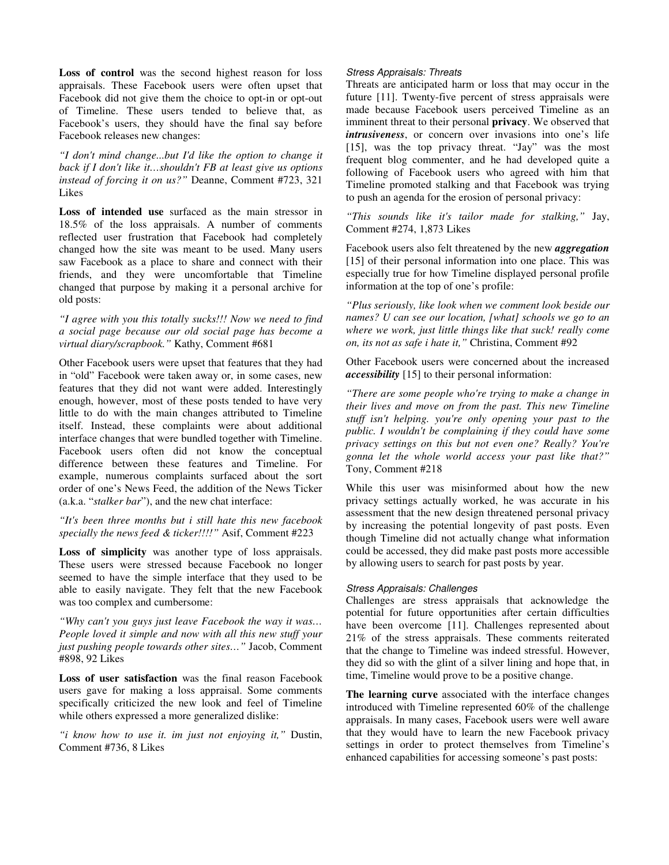**Loss of control** was the second highest reason for loss appraisals. These Facebook users were often upset that Facebook did not give them the choice to opt-in or opt-out of Timeline. These users tended to believe that, as Facebook's users, they should have the final say before Facebook releases new changes:

*"I don't mind change...but I'd like the option to change it back if I don't like it…shouldn't FB at least give us options instead of forcing it on us?"* Deanne, Comment #723, 321 Likes

**Loss of intended use** surfaced as the main stressor in 18.5% of the loss appraisals. A number of comments reflected user frustration that Facebook had completely changed how the site was meant to be used. Many users saw Facebook as a place to share and connect with their friends, and they were uncomfortable that Timeline changed that purpose by making it a personal archive for old posts:

*"I agree with you this totally sucks!!! Now we need to find a social page because our old social page has become a virtual diary/scrapbook."* Kathy, Comment #681

Other Facebook users were upset that features that they had in "old" Facebook were taken away or, in some cases, new features that they did not want were added. Interestingly enough, however, most of these posts tended to have very little to do with the main changes attributed to Timeline itself. Instead, these complaints were about additional interface changes that were bundled together with Timeline. Facebook users often did not know the conceptual difference between these features and Timeline. For example, numerous complaints surfaced about the sort order of one's News Feed, the addition of the News Ticker (a.k.a. "*stalker bar*"), and the new chat interface:

*"It's been three months but i still hate this new facebook specially the news feed & ticker!!!!"* Asif, Comment #223

**Loss of simplicity** was another type of loss appraisals. These users were stressed because Facebook no longer seemed to have the simple interface that they used to be able to easily navigate. They felt that the new Facebook was too complex and cumbersome:

*"Why can't you guys just leave Facebook the way it was… People loved it simple and now with all this new stuff your just pushing people towards other sites…"* Jacob, Comment #898, 92 Likes

**Loss of user satisfaction** was the final reason Facebook users gave for making a loss appraisal. Some comments specifically criticized the new look and feel of Timeline while others expressed a more generalized dislike:

*"i know how to use it. im just not enjoying it,"* Dustin, Comment #736, 8 Likes

## Stress Appraisals: Threats

Threats are anticipated harm or loss that may occur in the future [11]. Twenty-five percent of stress appraisals were made because Facebook users perceived Timeline as an imminent threat to their personal **privacy**. We observed that *intrusiveness*, or concern over invasions into one's life [15], was the top privacy threat. "Jay" was the most frequent blog commenter, and he had developed quite a following of Facebook users who agreed with him that Timeline promoted stalking and that Facebook was trying to push an agenda for the erosion of personal privacy:

*"This sounds like it's tailor made for stalking,"* Jay, Comment #274, 1,873 Likes

Facebook users also felt threatened by the new *aggregation*  [15] of their personal information into one place. This was especially true for how Timeline displayed personal profile information at the top of one's profile:

*"Plus seriously, like look when we comment look beside our names? U can see our location, [what] schools we go to an where we work, just little things like that suck! really come on, its not as safe i hate it,"* Christina, Comment #92

Other Facebook users were concerned about the increased *accessibility* [15] to their personal information:

*"There are some people who're trying to make a change in their lives and move on from the past. This new Timeline stuff isn't helping. you're only opening your past to the public. I wouldn't be complaining if they could have some privacy settings on this but not even one? Really? You're gonna let the whole world access your past like that?"* Tony, Comment #218

While this user was misinformed about how the new privacy settings actually worked, he was accurate in his assessment that the new design threatened personal privacy by increasing the potential longevity of past posts. Even though Timeline did not actually change what information could be accessed, they did make past posts more accessible by allowing users to search for past posts by year.

## Stress Appraisals: Challenges

Challenges are stress appraisals that acknowledge the potential for future opportunities after certain difficulties have been overcome [11]. Challenges represented about 21% of the stress appraisals. These comments reiterated that the change to Timeline was indeed stressful. However, they did so with the glint of a silver lining and hope that, in time, Timeline would prove to be a positive change.

**The learning curve** associated with the interface changes introduced with Timeline represented 60% of the challenge appraisals. In many cases, Facebook users were well aware that they would have to learn the new Facebook privacy settings in order to protect themselves from Timeline's enhanced capabilities for accessing someone's past posts: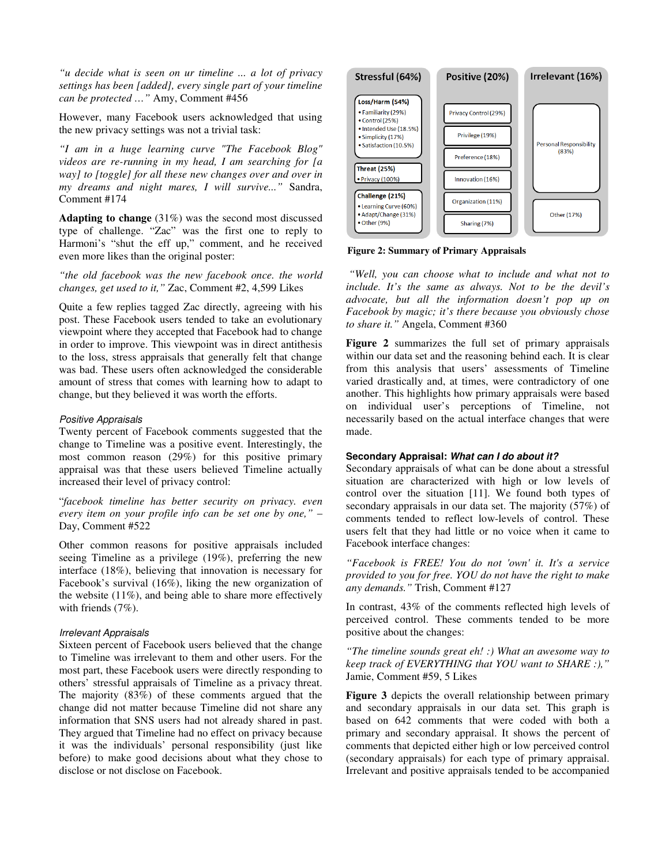*"u decide what is seen on ur timeline ... a lot of privacy settings has been [added], every single part of your timeline can be protected …"* Amy, Comment #456

However, many Facebook users acknowledged that using the new privacy settings was not a trivial task:

*"I am in a huge learning curve "The Facebook Blog" videos are re-running in my head, I am searching for [a way] to [toggle] for all these new changes over and over in my dreams and night mares, I will survive..."* Sandra, Comment #174

**Adapting to change** (31%) was the second most discussed type of challenge. "Zac" was the first one to reply to Harmoni's "shut the eff up," comment, and he received even more likes than the original poster:

*"the old facebook was the new facebook once. the world changes, get used to it,"* Zac, Comment #2, 4,599 Likes

Quite a few replies tagged Zac directly, agreeing with his post. These Facebook users tended to take an evolutionary viewpoint where they accepted that Facebook had to change in order to improve. This viewpoint was in direct antithesis to the loss, stress appraisals that generally felt that change was bad. These users often acknowledged the considerable amount of stress that comes with learning how to adapt to change, but they believed it was worth the efforts.

#### Positive Appraisals

Twenty percent of Facebook comments suggested that the change to Timeline was a positive event. Interestingly, the most common reason (29%) for this positive primary appraisal was that these users believed Timeline actually increased their level of privacy control:

"*facebook timeline has better security on privacy. even every item on your profile info can be set one by one,"* – Day, Comment #522

Other common reasons for positive appraisals included seeing Timeline as a privilege (19%), preferring the new interface (18%), believing that innovation is necessary for Facebook's survival (16%), liking the new organization of the website (11%), and being able to share more effectively with friends (7%).

#### Irrelevant Appraisals

Sixteen percent of Facebook users believed that the change to Timeline was irrelevant to them and other users. For the most part, these Facebook users were directly responding to others' stressful appraisals of Timeline as a privacy threat. The majority (83%) of these comments argued that the change did not matter because Timeline did not share any information that SNS users had not already shared in past. They argued that Timeline had no effect on privacy because it was the individuals' personal responsibility (just like before) to make good decisions about what they chose to disclose or not disclose on Facebook.



**Figure 2: Summary of Primary Appraisals** 

 *"Well, you can choose what to include and what not to include. It's the same as always. Not to be the devil's advocate, but all the information doesn't pop up on Facebook by magic; it's there because you obviously chose to share it."* Angela, Comment #360

**Figure 2** summarizes the full set of primary appraisals within our data set and the reasoning behind each. It is clear from this analysis that users' assessments of Timeline varied drastically and, at times, were contradictory of one another. This highlights how primary appraisals were based on individual user's perceptions of Timeline, not necessarily based on the actual interface changes that were made.

## **Secondary Appraisal: What can I do about it?**

Secondary appraisals of what can be done about a stressful situation are characterized with high or low levels of control over the situation [11]. We found both types of secondary appraisals in our data set. The majority (57%) of comments tended to reflect low-levels of control. These users felt that they had little or no voice when it came to Facebook interface changes:

*"Facebook is FREE! You do not 'own' it. It's a service provided to you for free. YOU do not have the right to make any demands."* Trish, Comment #127

In contrast, 43% of the comments reflected high levels of perceived control. These comments tended to be more positive about the changes:

*"The timeline sounds great eh! :) What an awesome way to keep track of EVERYTHING that YOU want to SHARE :),"* Jamie, Comment #59, 5 Likes

**Figure 3** depicts the overall relationship between primary and secondary appraisals in our data set. This graph is based on 642 comments that were coded with both a primary and secondary appraisal. It shows the percent of comments that depicted either high or low perceived control (secondary appraisals) for each type of primary appraisal. Irrelevant and positive appraisals tended to be accompanied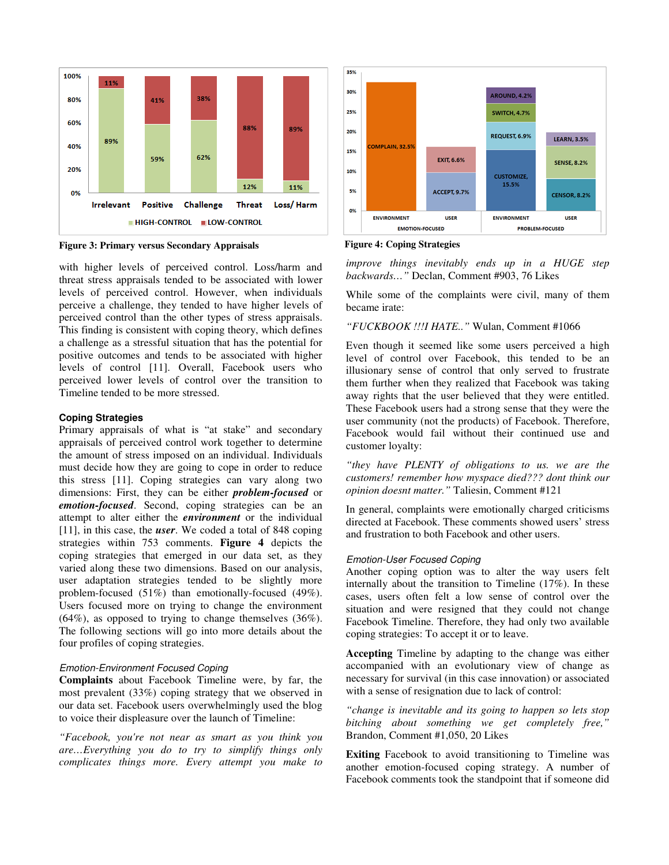

**Figure 3: Primary versus Secondary Appraisals** 

with higher levels of perceived control. Loss/harm and threat stress appraisals tended to be associated with lower levels of perceived control. However, when individuals perceive a challenge, they tended to have higher levels of perceived control than the other types of stress appraisals. This finding is consistent with coping theory, which defines a challenge as a stressful situation that has the potential for positive outcomes and tends to be associated with higher levels of control [11]. Overall, Facebook users who perceived lower levels of control over the transition to Timeline tended to be more stressed.

#### **Coping Strategies**

Primary appraisals of what is "at stake" and secondary appraisals of perceived control work together to determine the amount of stress imposed on an individual. Individuals must decide how they are going to cope in order to reduce this stress [11]. Coping strategies can vary along two dimensions: First, they can be either *problem-focused* or *emotion-focused*. Second, coping strategies can be an attempt to alter either the *environment* or the individual [11], in this case, the *user*. We coded a total of 848 coping strategies within 753 comments. **Figure 4** depicts the coping strategies that emerged in our data set, as they varied along these two dimensions. Based on our analysis, user adaptation strategies tended to be slightly more problem-focused (51%) than emotionally-focused (49%). Users focused more on trying to change the environment (64%), as opposed to trying to change themselves (36%). The following sections will go into more details about the four profiles of coping strategies.

#### Emotion-Environment Focused Coping

**Complaints** about Facebook Timeline were, by far, the most prevalent (33%) coping strategy that we observed in our data set. Facebook users overwhelmingly used the blog to voice their displeasure over the launch of Timeline:

*"Facebook, you're not near as smart as you think you are…Everything you do to try to simplify things only complicates things more. Every attempt you make to* 



#### **Figure 4: Coping Strategies**

*improve things inevitably ends up in a HUGE step backwards…"* Declan, Comment #903, 76 Likes

While some of the complaints were civil, many of them became irate:

## *"FUCKBOOK !!!I HATE.."* Wulan, Comment #1066

Even though it seemed like some users perceived a high level of control over Facebook, this tended to be an illusionary sense of control that only served to frustrate them further when they realized that Facebook was taking away rights that the user believed that they were entitled. These Facebook users had a strong sense that they were the user community (not the products) of Facebook. Therefore, Facebook would fail without their continued use and customer loyalty:

*"they have PLENTY of obligations to us. we are the customers! remember how myspace died??? dont think our opinion doesnt matter."* Taliesin, Comment #121

In general, complaints were emotionally charged criticisms directed at Facebook. These comments showed users' stress and frustration to both Facebook and other users.

#### Emotion-User Focused Coping

Another coping option was to alter the way users felt internally about the transition to Timeline (17%). In these cases, users often felt a low sense of control over the situation and were resigned that they could not change Facebook Timeline. Therefore, they had only two available coping strategies: To accept it or to leave.

**Accepting** Timeline by adapting to the change was either accompanied with an evolutionary view of change as necessary for survival (in this case innovation) or associated with a sense of resignation due to lack of control:

*"change is inevitable and its going to happen so lets stop bitching about something we get completely free,"* Brandon, Comment #1,050, 20 Likes

**Exiting** Facebook to avoid transitioning to Timeline was another emotion-focused coping strategy. A number of Facebook comments took the standpoint that if someone did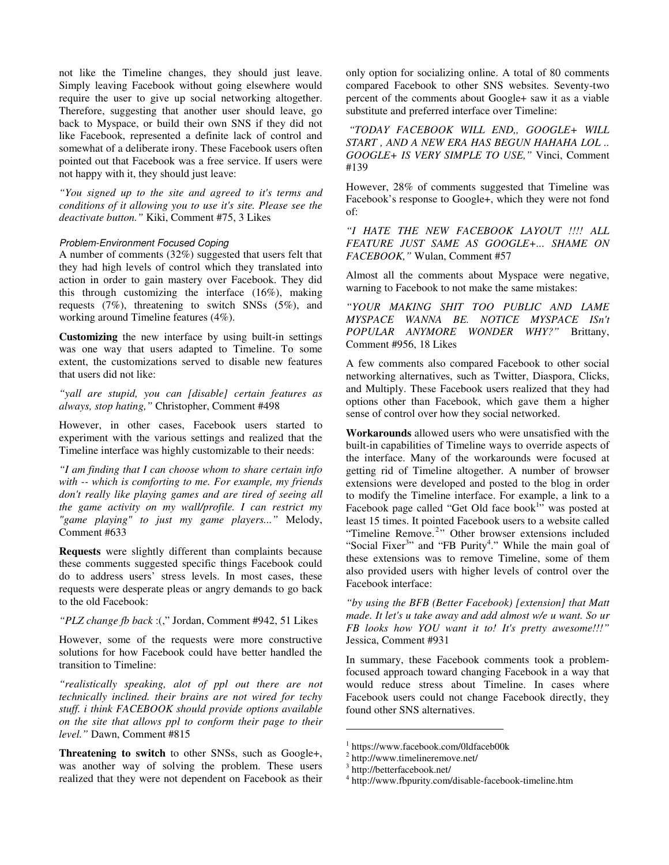not like the Timeline changes, they should just leave. Simply leaving Facebook without going elsewhere would require the user to give up social networking altogether. Therefore, suggesting that another user should leave, go back to Myspace, or build their own SNS if they did not like Facebook, represented a definite lack of control and somewhat of a deliberate irony. These Facebook users often pointed out that Facebook was a free service. If users were not happy with it, they should just leave:

*"You signed up to the site and agreed to it's terms and conditions of it allowing you to use it's site. Please see the deactivate button."* Kiki, Comment #75, 3 Likes

### Problem-Environment Focused Coping

A number of comments (32%) suggested that users felt that they had high levels of control which they translated into action in order to gain mastery over Facebook. They did this through customizing the interface (16%), making requests (7%), threatening to switch SNSs (5%), and working around Timeline features (4%).

**Customizing** the new interface by using built-in settings was one way that users adapted to Timeline. To some extent, the customizations served to disable new features that users did not like:

*"yall are stupid, you can [disable] certain features as always, stop hating,"* Christopher, Comment #498

However, in other cases, Facebook users started to experiment with the various settings and realized that the Timeline interface was highly customizable to their needs:

*"I am finding that I can choose whom to share certain info with -- which is comforting to me. For example, my friends don't really like playing games and are tired of seeing all the game activity on my wall/profile. I can restrict my "game playing" to just my game players..."* Melody, Comment #633

**Requests** were slightly different than complaints because these comments suggested specific things Facebook could do to address users' stress levels. In most cases, these requests were desperate pleas or angry demands to go back to the old Facebook:

*"PLZ change fb back* :(," Jordan, Comment #942, 51 Likes

However, some of the requests were more constructive solutions for how Facebook could have better handled the transition to Timeline:

*"realistically speaking, alot of ppl out there are not technically inclined. their brains are not wired for techy stuff. i think FACEBOOK should provide options available on the site that allows ppl to conform their page to their level."* Dawn, Comment #815

**Threatening to switch** to other SNSs, such as Google+, was another way of solving the problem. These users realized that they were not dependent on Facebook as their only option for socializing online. A total of 80 comments compared Facebook to other SNS websites. Seventy-two percent of the comments about Google+ saw it as a viable substitute and preferred interface over Timeline:

*"TODAY FACEBOOK WILL END,, GOOGLE+ WILL START , AND A NEW ERA HAS BEGUN HAHAHA LOL .. GOOGLE+ IS VERY SIMPLE TO USE,"* Vinci, Comment #139

However, 28% of comments suggested that Timeline was Facebook's response to Google+, which they were not fond of:

*"I HATE THE NEW FACEBOOK LAYOUT !!!! ALL FEATURE JUST SAME AS GOOGLE+... SHAME ON FACEBOOK,"* Wulan, Comment #57

Almost all the comments about Myspace were negative, warning to Facebook to not make the same mistakes:

*"YOUR MAKING SHIT TOO PUBLIC AND LAME MYSPACE WANNA BE. NOTICE MYSPACE ISn't POPULAR ANYMORE WONDER WHY?"* Brittany, Comment #956, 18 Likes

A few comments also compared Facebook to other social networking alternatives, such as Twitter, Diaspora, Clicks, and Multiply. These Facebook users realized that they had options other than Facebook, which gave them a higher sense of control over how they social networked.

**Workarounds** allowed users who were unsatisfied with the built-in capabilities of Timeline ways to override aspects of the interface. Many of the workarounds were focused at getting rid of Timeline altogether. A number of browser extensions were developed and posted to the blog in order to modify the Timeline interface. For example, a link to a Facebook page called "Get Old face book<sup>1,</sup>" was posted at least 15 times. It pointed Facebook users to a website called "Timeline Remove.<sup>2</sup>" Other browser extensions included "Social Fixer<sup>3</sup>" and "FB Purity<sup>4</sup>." While the main goal of these extensions was to remove Timeline, some of them also provided users with higher levels of control over the Facebook interface:

*"by using the BFB (Better Facebook) [extension] that Matt made. It let's u take away and add almost w/e u want. So ur FB looks how YOU want it to! It's pretty awesome!!!"* Jessica, Comment #931

In summary, these Facebook comments took a problemfocused approach toward changing Facebook in a way that would reduce stress about Timeline. In cases where Facebook users could not change Facebook directly, they found other SNS alternatives.

1

<sup>1</sup> https://www.facebook.com/0ldfaceb00k

<sup>&</sup>lt;sup>2</sup> http://www.timelineremove.net/

<sup>3</sup> http://betterfacebook.net/

<sup>4</sup> http://www.fbpurity.com/disable-facebook-timeline.htm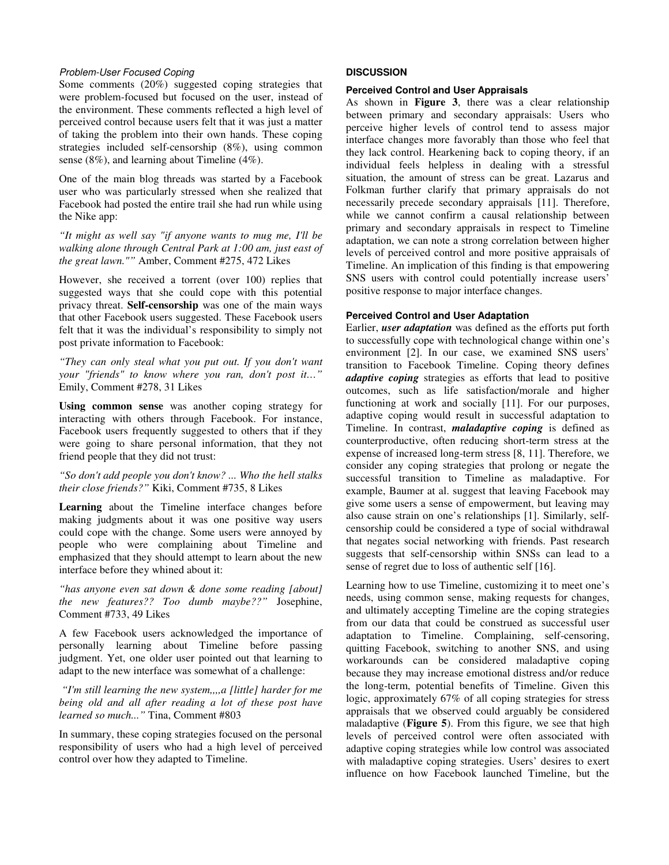## Problem-User Focused Coping

Some comments (20%) suggested coping strategies that were problem-focused but focused on the user, instead of the environment. These comments reflected a high level of perceived control because users felt that it was just a matter of taking the problem into their own hands. These coping strategies included self-censorship (8%), using common sense (8%), and learning about Timeline (4%).

One of the main blog threads was started by a Facebook user who was particularly stressed when she realized that Facebook had posted the entire trail she had run while using the Nike app:

*"It might as well say "if anyone wants to mug me, I'll be walking alone through Central Park at 1:00 am, just east of the great lawn.""* Amber, Comment #275, 472 Likes

However, she received a torrent (over 100) replies that suggested ways that she could cope with this potential privacy threat. **Self-censorship** was one of the main ways that other Facebook users suggested. These Facebook users felt that it was the individual's responsibility to simply not post private information to Facebook:

*"They can only steal what you put out. If you don't want your "friends" to know where you ran, don't post it…"* Emily, Comment #278, 31 Likes

**Using common sense** was another coping strategy for interacting with others through Facebook. For instance, Facebook users frequently suggested to others that if they were going to share personal information, that they not friend people that they did not trust:

*"So don't add people you don't know? ... Who the hell stalks their close friends?"* Kiki, Comment #735, 8 Likes

**Learning** about the Timeline interface changes before making judgments about it was one positive way users could cope with the change. Some users were annoyed by people who were complaining about Timeline and emphasized that they should attempt to learn about the new interface before they whined about it:

*"has anyone even sat down & done some reading [about] the new features?? Too dumb maybe??"* Josephine, Comment #733, 49 Likes

A few Facebook users acknowledged the importance of personally learning about Timeline before passing judgment. Yet, one older user pointed out that learning to adapt to the new interface was somewhat of a challenge:

 *"I'm still learning the new system,,,,a [little] harder for me being old and all after reading a lot of these post have learned so much..."* Tina, Comment #803

In summary, these coping strategies focused on the personal responsibility of users who had a high level of perceived control over how they adapted to Timeline.

#### **DISCUSSION**

#### **Perceived Control and User Appraisals**

As shown in **Figure 3**, there was a clear relationship between primary and secondary appraisals: Users who perceive higher levels of control tend to assess major interface changes more favorably than those who feel that they lack control. Hearkening back to coping theory, if an individual feels helpless in dealing with a stressful situation, the amount of stress can be great. Lazarus and Folkman further clarify that primary appraisals do not necessarily precede secondary appraisals [11]. Therefore, while we cannot confirm a causal relationship between primary and secondary appraisals in respect to Timeline adaptation, we can note a strong correlation between higher levels of perceived control and more positive appraisals of Timeline. An implication of this finding is that empowering SNS users with control could potentially increase users' positive response to major interface changes.

## **Perceived Control and User Adaptation**

Earlier, *user adaptation* was defined as the efforts put forth to successfully cope with technological change within one's environment [2]. In our case, we examined SNS users' transition to Facebook Timeline. Coping theory defines *adaptive coping* strategies as efforts that lead to positive outcomes, such as life satisfaction/morale and higher functioning at work and socially [11]. For our purposes, adaptive coping would result in successful adaptation to Timeline. In contrast, *maladaptive coping* is defined as counterproductive, often reducing short-term stress at the expense of increased long-term stress [8, 11]. Therefore, we consider any coping strategies that prolong or negate the successful transition to Timeline as maladaptive. For example, Baumer at al. suggest that leaving Facebook may give some users a sense of empowerment, but leaving may also cause strain on one's relationships [1]. Similarly, selfcensorship could be considered a type of social withdrawal that negates social networking with friends. Past research suggests that self-censorship within SNSs can lead to a sense of regret due to loss of authentic self [16].

Learning how to use Timeline, customizing it to meet one's needs, using common sense, making requests for changes, and ultimately accepting Timeline are the coping strategies from our data that could be construed as successful user adaptation to Timeline. Complaining, self-censoring, quitting Facebook, switching to another SNS, and using workarounds can be considered maladaptive coping because they may increase emotional distress and/or reduce the long-term, potential benefits of Timeline. Given this logic, approximately 67% of all coping strategies for stress appraisals that we observed could arguably be considered maladaptive (**Figure 5**). From this figure, we see that high levels of perceived control were often associated with adaptive coping strategies while low control was associated with maladaptive coping strategies. Users' desires to exert influence on how Facebook launched Timeline, but the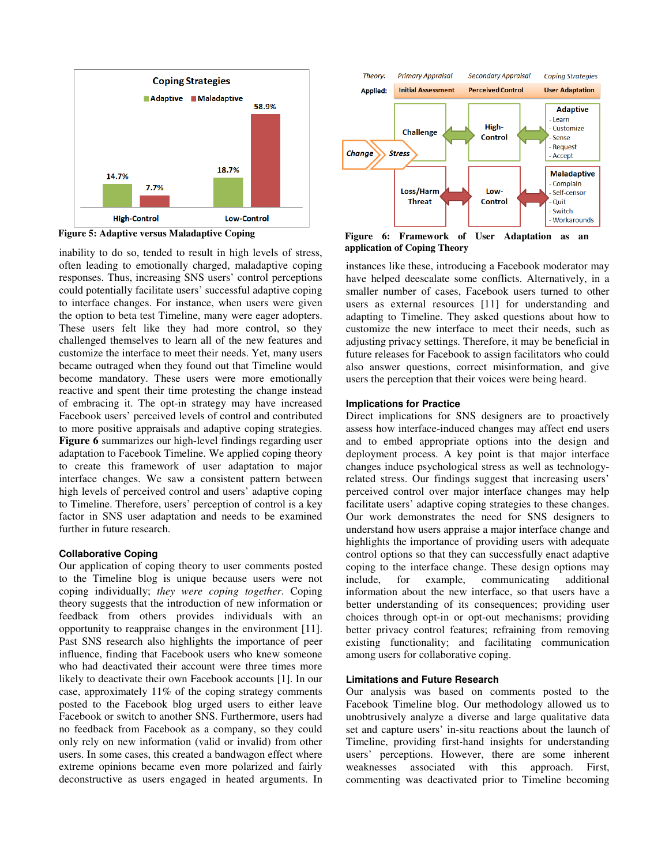

inability to do so, tended to result in high levels of stress, often leading to emotionally charged, maladaptive coping responses. Thus, increasing SNS users' control perceptions could potentially facilitate users' successful adaptive coping to interface changes. For instance, when users were given the option to beta test Timeline, many were eager adopters. These users felt like they had more control, so they challenged themselves to learn all of the new features and customize the interface to meet their needs. Yet, many users became outraged when they found out that Timeline would become mandatory. These users were more emotionally reactive and spent their time protesting the change instead of embracing it. The opt-in strategy may have increased Facebook users' perceived levels of control and contributed to more positive appraisals and adaptive coping strategies. **Figure 6** summarizes our high-level findings regarding user adaptation to Facebook Timeline. We applied coping theory to create this framework of user adaptation to major interface changes. We saw a consistent pattern between high levels of perceived control and users' adaptive coping to Timeline. Therefore, users' perception of control is a key factor in SNS user adaptation and needs to be examined further in future research.

### **Collaborative Coping**

Our application of coping theory to user comments posted to the Timeline blog is unique because users were not coping individually; *they were coping together*. Coping theory suggests that the introduction of new information or feedback from others provides individuals with an opportunity to reappraise changes in the environment [11]. Past SNS research also highlights the importance of peer influence, finding that Facebook users who knew someone who had deactivated their account were three times more likely to deactivate their own Facebook accounts [1]. In our case, approximately 11% of the coping strategy comments posted to the Facebook blog urged users to either leave Facebook or switch to another SNS. Furthermore, users had no feedback from Facebook as a company, so they could only rely on new information (valid or invalid) from other users. In some cases, this created a bandwagon effect where extreme opinions became even more polarized and fairly deconstructive as users engaged in heated arguments. In



Figure 5: Adaptive versus Maladaptive Coping Figure 6: Framework of User Adaptation as an **application of Coping Theory** 

instances like these, introducing a Facebook moderator may have helped deescalate some conflicts. Alternatively, in a smaller number of cases, Facebook users turned to other users as external resources [11] for understanding and adapting to Timeline. They asked questions about how to customize the new interface to meet their needs, such as adjusting privacy settings. Therefore, it may be beneficial in future releases for Facebook to assign facilitators who could also answer questions, correct misinformation, and give users the perception that their voices were being heard.

### **Implications for Practice**

Direct implications for SNS designers are to proactively assess how interface-induced changes may affect end users and to embed appropriate options into the design and deployment process. A key point is that major interface changes induce psychological stress as well as technologyrelated stress. Our findings suggest that increasing users' perceived control over major interface changes may help facilitate users' adaptive coping strategies to these changes. Our work demonstrates the need for SNS designers to understand how users appraise a major interface change and highlights the importance of providing users with adequate control options so that they can successfully enact adaptive coping to the interface change. These design options may include, for example, communicating additional information about the new interface, so that users have a better understanding of its consequences; providing user choices through opt-in or opt-out mechanisms; providing better privacy control features; refraining from removing existing functionality; and facilitating communication among users for collaborative coping.

#### **Limitations and Future Research**

Our analysis was based on comments posted to the Facebook Timeline blog. Our methodology allowed us to unobtrusively analyze a diverse and large qualitative data set and capture users' in-situ reactions about the launch of Timeline, providing first-hand insights for understanding users' perceptions. However, there are some inherent weaknesses associated with this approach. First, commenting was deactivated prior to Timeline becoming